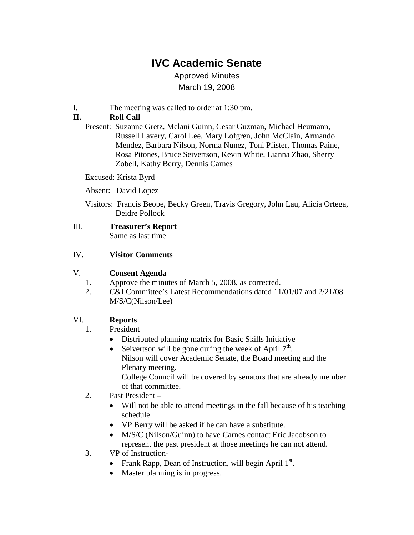# **IVC Academic Senate**

Approved Minutes March 19, 2008

I. The meeting was called to order at 1:30 pm.

## **II. Roll Call**

Present: Suzanne Gretz, Melani Guinn, Cesar Guzman, Michael Heumann, Russell Lavery, Carol Lee, Mary Lofgren, John McClain, Armando Mendez, Barbara Nilson, Norma Nunez, Toni Pfister, Thomas Paine, Rosa Pitones, Bruce Seivertson, Kevin White, Lianna Zhao, Sherry Zobell, Kathy Berry, Dennis Carnes

Excused: Krista Byrd

- Absent: David Lopez
- Visitors: Francis Beope, Becky Green, Travis Gregory, John Lau, Alicia Ortega, Deidre Pollock

#### IV. **Visitor Comments**

#### V. **Consent Agenda**

- 1. Approve the minutes of March 5, 2008, as corrected.
- 2. C&I Committee's Latest Recommendations dated 11/01/07 and 2/21/08 M/S/C(Nilson/Lee)

#### VI. **Reports**

- 1. President
	- Distributed planning matrix for Basic Skills Initiative
	- Seivertson will be gone during the week of April  $7<sup>th</sup>$ . Nilson will cover Academic Senate, the Board meeting and the Plenary meeting. College Council will be covered by senators that are already member of that committee.
- 2. Past President
	- Will not be able to attend meetings in the fall because of his teaching schedule.
	- VP Berry will be asked if he can have a substitute.
	- M/S/C (Nilson/Guinn) to have Carnes contact Eric Jacobson to represent the past president at those meetings he can not attend.
- 3. VP of Instruction-
	- Frank Rapp, Dean of Instruction, will begin April  $1<sup>st</sup>$ .
	- Master planning is in progress.

III. **Treasurer's Report** Same as last time.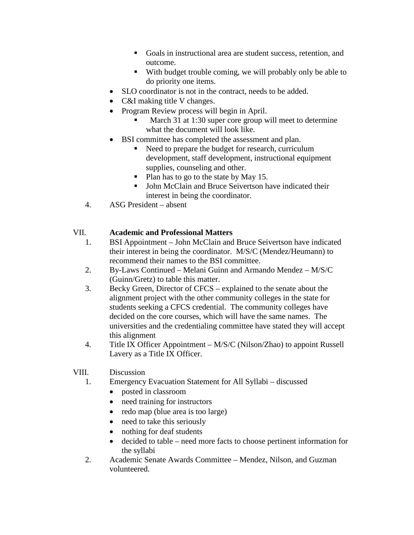- Goals in instructional area are student success, retention, and outcome.
- With budget trouble coming, we will probably only be able to do priority one items.
- SLO coordinator is not in the contract, needs to be added.
- C&I making title V changes.
- Program Review process will begin in April.
	- March 31 at 1:30 super core group will meet to determine what the document will look like.
- BSI committee has completed the assessment and plan.
	- Need to prepare the budget for research, curriculum development, staff development, instructional equipment supplies, counseling and other.
	- Plan has to go to the state by May 15.
	- John McClain and Bruce Seivertson have indicated their interest in being the coordinator.
- 4. ASG President absent

# VII. **Academic and Professional Matters**

- 1. BSI Appointment John McClain and Bruce Seivertson have indicated their interest in being the coordinator. M/S/C (Mendez/Heumann) to recommend their names to the BSI committee.
- 2. By-Laws Continued Melani Guinn and Armando Mendez M/S/C (Guinn/Gretz) to table this matter.
- 3. Becky Green, Director of CFCS explained to the senate about the alignment project with the other community colleges in the state for students seeking a CFCS credential. The community colleges have decided on the core courses, which will have the same names. The universities and the credentialing committee have stated they will accept this alignment
- 4. Title IX Officer Appointment M/S/C (Nilson/Zhao) to appoint Russell Lavery as a Title IX Officer.

## VIII. Discussion

- 1. Emergency Evacuation Statement for All Syllabi discussed
	- posted in classroom
	- need training for instructors
	- redo map (blue area is too large)
	- need to take this seriously
	- nothing for deaf students
	- decided to table need more facts to choose pertinent information for the syllabi
- 2. Academic Senate Awards Committee Mendez, Nilson, and Guzman volunteered.